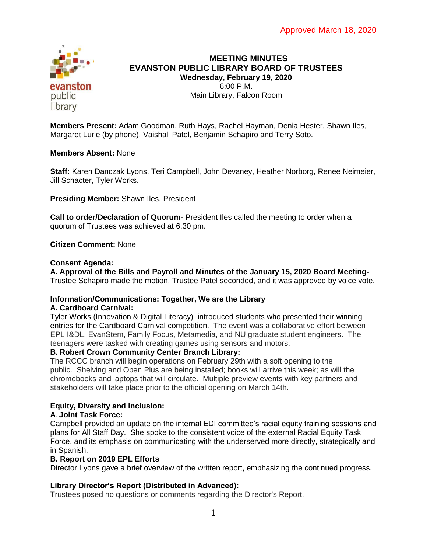

# **MEETING MINUTES EVANSTON PUBLIC LIBRARY BOARD OF TRUSTEES Wednesday, February 19, 2020** 6:00 P.M. Main Library, Falcon Room

**Members Present:** Adam Goodman, Ruth Hays, Rachel Hayman, Denia Hester, Shawn Iles, Margaret Lurie (by phone), Vaishali Patel, Benjamin Schapiro and Terry Soto.

# **Members Absent:** None

**Staff:** Karen Danczak Lyons, Teri Campbell, John Devaney, Heather Norborg, Renee Neimeier, Jill Schacter, Tyler Works.

**Presiding Member:** Shawn Iles, President

**Call to order/Declaration of Quorum-** President Iles called the meeting to order when a quorum of Trustees was achieved at 6:30 pm.

**Citizen Comment:** None

### **Consent Agenda:**

**A. Approval of the Bills and Payroll and Minutes of the January 15, 2020 Board Meeting-**Trustee Schapiro made the motion, Trustee Patel seconded, and it was approved by voice vote.

# **Information/Communications: Together, We are the Library**

### **A. Cardboard Carnival:**

Tyler Works (Innovation & Digital Literacy) introduced students who presented their winning entries for the Cardboard Carnival competition. The event was a collaborative effort between EPL I&DL, EvanStem, Family Focus, Metamedia, and NU graduate student engineers. The teenagers were tasked with creating games using sensors and motors.

# **B. Robert Crown Community Center Branch Library:**

The RCCC branch will begin operations on February 29th with a soft opening to the public. Shelving and Open Plus are being installed; books will arrive this week; as will the chromebooks and laptops that will circulate. Multiple preview events with key partners and stakeholders will take place prior to the official opening on March 14th.

# **Equity, Diversity and Inclusion:**

# **A**. **Joint Task Force:**

Campbell provided an update on the internal EDI committee's racial equity training sessions and plans for All Staff Day. She spoke to the consistent voice of the external Racial Equity Task Force, and its emphasis on communicating with the underserved more directly, strategically and in Spanish.

### **B. Report on 2019 EPL Efforts**

Director Lyons gave a brief overview of the written report, emphasizing the continued progress.

# **Library Director's Report (Distributed in Advanced):**

Trustees posed no questions or comments regarding the Director's Report.